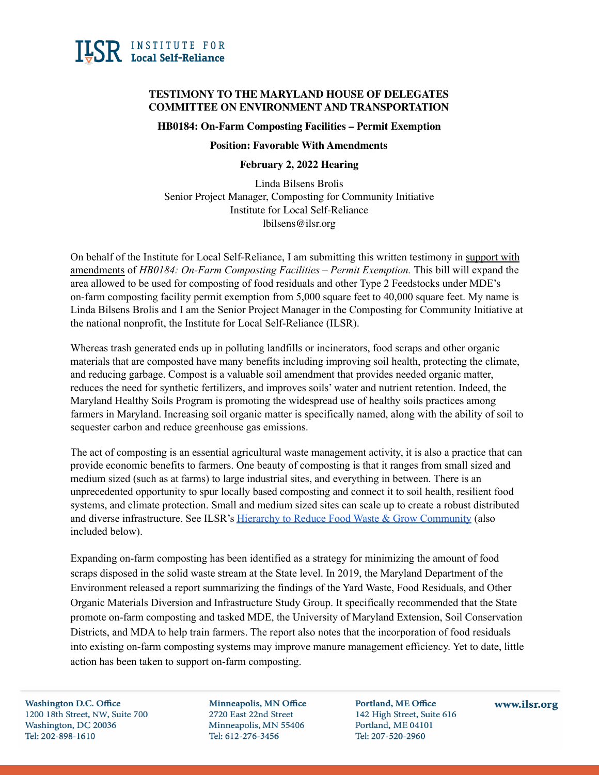

# **TESTIMONY TO THE MARYLAND HOUSE OF DELEGATES COMMITTEE ON ENVIRONMENT AND TRANSPORTATION**

#### **HB0184: On-Farm Composting Facilities – Permit Exemption**

### **Position: Favorable With Amendments**

#### **February 2, 2022 Hearing**

Linda Bilsens Brolis Senior Project Manager, Composting for Community Initiative Institute for Local Self-Reliance lbilsens@ilsr.org

On behalf of the Institute for Local Self-Reliance, I am submitting this written testimony in support with amendments of *HB0184: On-Farm Composting Facilities – Permit Exemption.* This bill will expand the area allowed to be used for composting of food residuals and other Type 2 Feedstocks under MDE's on-farm composting facility permit exemption from 5,000 square feet to 40,000 square feet. My name is Linda Bilsens Brolis and I am the Senior Project Manager in the Composting for Community Initiative at the national nonprofit, the Institute for Local Self-Reliance (ILSR).

Whereas trash generated ends up in polluting landfills or incinerators, food scraps and other organic materials that are composted have many benefits including improving soil health, protecting the climate, and reducing garbage. Compost is a valuable soil amendment that provides needed organic matter, reduces the need for synthetic fertilizers, and improves soils' water and nutrient retention. Indeed, the Maryland Healthy Soils Program is promoting the widespread use of healthy soils practices among farmers in Maryland. Increasing soil organic matter is specifically named, along with the ability of soil to sequester carbon and reduce greenhouse gas emissions.

The act of composting is an essential agricultural waste management activity, it is also a practice that can provide economic benefits to farmers. One beauty of composting is that it ranges from small sized and medium sized (such as at farms) to large industrial sites, and everything in between. There is an unprecedented opportunity to spur locally based composting and connect it to soil health, resilient food systems, and climate protection. Small and medium sized sites can scale up to create a robust distributed and diverse infrastructure. See ILSR's Hierarchy to Reduce Food Waste & Grow [Community](https://ilsr.org/food-waste-hierarchy/) (also included below).

Expanding on-farm composting has been identified as a strategy for minimizing the amount of food scraps disposed in the solid waste stream at the State level. In 2019, the Maryland Department of the Environment released a report summarizing the findings of the Yard Waste, Food Residuals, and Other Organic Materials Diversion and Infrastructure Study Group. It specifically recommended that the State promote on-farm composting and tasked MDE, the University of Maryland Extension, Soil Conservation Districts, and MDA to help train farmers. The report also notes that the incorporation of food residuals into existing on-farm composting systems may improve manure management efficiency. Yet to date, little action has been taken to support on-farm composting.

**Washington D.C. Office** 1200 18th Street, NW, Suite 700 Washington, DC 20036 Tel: 202-898-1610

Minneapolis, MN Office 2720 East 22nd Street Minneapolis, MN 55406 Tel: 612-276-3456

Portland, ME Office 142 High Street, Suite 616 Portland, ME 04101 Tel: 207-520-2960

www.ilsr.org